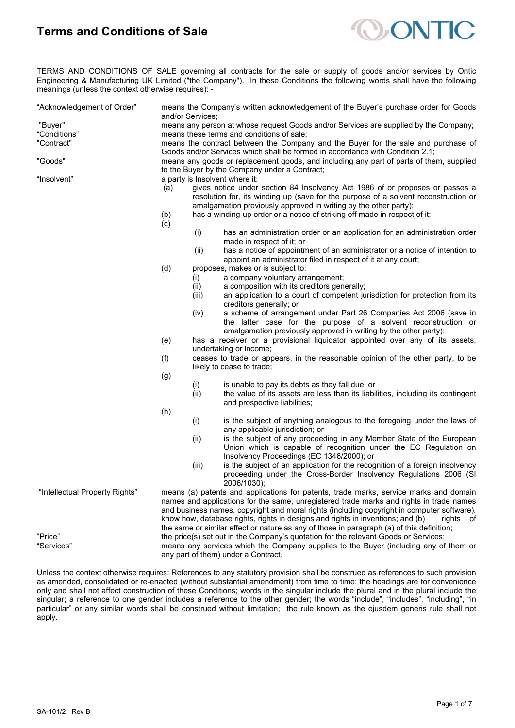

TERMS AND CONDITIONS OF SALE governing all contracts for the sale or supply of goods and/or services by Ontic Engineering & Manufacturing UK Limited ("the Company"). In these Conditions the following words shall have the following meanings (unless the context otherwise requires): -

| "Acknowledgement of Order"     | means the Company's written acknowledgement of the Buyer's purchase order for Goods<br>and/or Services;                                                                                                                                        |                                                                                             |                                                                                                                                                                                                         |  |
|--------------------------------|------------------------------------------------------------------------------------------------------------------------------------------------------------------------------------------------------------------------------------------------|---------------------------------------------------------------------------------------------|---------------------------------------------------------------------------------------------------------------------------------------------------------------------------------------------------------|--|
| "Buyer"                        | means any person at whose request Goods and/or Services are supplied by the Company;                                                                                                                                                           |                                                                                             |                                                                                                                                                                                                         |  |
| "Conditions"                   | means these terms and conditions of sale;                                                                                                                                                                                                      |                                                                                             |                                                                                                                                                                                                         |  |
| "Contract"                     | means the contract between the Company and the Buyer for the sale and purchase of<br>Goods and/or Services which shall be formed in accordance with Condition 2.1;                                                                             |                                                                                             |                                                                                                                                                                                                         |  |
| "Goods"                        | means any goods or replacement goods, and including any part of parts of them, supplied                                                                                                                                                        |                                                                                             |                                                                                                                                                                                                         |  |
|                                | to the Buyer by the Company under a Contract;                                                                                                                                                                                                  |                                                                                             |                                                                                                                                                                                                         |  |
| "Insolvent"                    | a party is Insolvent where it:                                                                                                                                                                                                                 |                                                                                             |                                                                                                                                                                                                         |  |
|                                | gives notice under section 84 Insolvency Act 1986 of or proposes or passes a<br>(a)<br>resolution for, its winding up (save for the purpose of a solvent reconstruction or<br>amalgamation previously approved in writing by the other party); |                                                                                             |                                                                                                                                                                                                         |  |
|                                | (b)                                                                                                                                                                                                                                            |                                                                                             | has a winding-up order or a notice of striking off made in respect of it;                                                                                                                               |  |
|                                | (c)                                                                                                                                                                                                                                            |                                                                                             |                                                                                                                                                                                                         |  |
|                                |                                                                                                                                                                                                                                                | (i)                                                                                         | has an administration order or an application for an administration order<br>made in respect of it; or                                                                                                  |  |
|                                |                                                                                                                                                                                                                                                | (ii)                                                                                        | has a notice of appointment of an administrator or a notice of intention to                                                                                                                             |  |
|                                |                                                                                                                                                                                                                                                |                                                                                             | appoint an administrator filed in respect of it at any court;                                                                                                                                           |  |
|                                | (d)                                                                                                                                                                                                                                            |                                                                                             | proposes, makes or is subject to:                                                                                                                                                                       |  |
|                                |                                                                                                                                                                                                                                                | (i)                                                                                         | a company voluntary arrangement;                                                                                                                                                                        |  |
|                                |                                                                                                                                                                                                                                                | (ii)                                                                                        | a composition with its creditors generally;                                                                                                                                                             |  |
|                                |                                                                                                                                                                                                                                                | (iii)                                                                                       | an application to a court of competent jurisdiction for protection from its                                                                                                                             |  |
|                                |                                                                                                                                                                                                                                                |                                                                                             | creditors generally; or                                                                                                                                                                                 |  |
|                                |                                                                                                                                                                                                                                                | (iv)                                                                                        | a scheme of arrangement under Part 26 Companies Act 2006 (save in<br>the latter case for the purpose of a solvent reconstruction or<br>amalgamation previously approved in writing by the other party); |  |
|                                | (e)                                                                                                                                                                                                                                            |                                                                                             | has a receiver or a provisional liquidator appointed over any of its assets,<br>undertaking or income;                                                                                                  |  |
|                                | (f)                                                                                                                                                                                                                                            |                                                                                             | ceases to trade or appears, in the reasonable opinion of the other party, to be<br>likely to cease to trade;                                                                                            |  |
|                                | (g)                                                                                                                                                                                                                                            |                                                                                             |                                                                                                                                                                                                         |  |
|                                |                                                                                                                                                                                                                                                | (i)                                                                                         | is unable to pay its debts as they fall due; or                                                                                                                                                         |  |
|                                |                                                                                                                                                                                                                                                | (ii)                                                                                        | the value of its assets are less than its liabilities, including its contingent                                                                                                                         |  |
|                                |                                                                                                                                                                                                                                                |                                                                                             |                                                                                                                                                                                                         |  |
|                                |                                                                                                                                                                                                                                                |                                                                                             | and prospective liabilities;                                                                                                                                                                            |  |
|                                | (h)                                                                                                                                                                                                                                            |                                                                                             |                                                                                                                                                                                                         |  |
|                                |                                                                                                                                                                                                                                                | (i)                                                                                         | is the subject of anything analogous to the foregoing under the laws of<br>any applicable jurisdiction; or                                                                                              |  |
|                                |                                                                                                                                                                                                                                                | (ii)                                                                                        | is the subject of any proceeding in any Member State of the European                                                                                                                                    |  |
|                                |                                                                                                                                                                                                                                                |                                                                                             | Union which is capable of recognition under the EC Regulation on<br>Insolvency Proceedings (EC 1346/2000); or                                                                                           |  |
|                                |                                                                                                                                                                                                                                                | (iii)                                                                                       | is the subject of an application for the recognition of a foreign insolvency<br>proceeding under the Cross-Border Insolvency Regulations 2006 (SI                                                       |  |
|                                |                                                                                                                                                                                                                                                |                                                                                             | 2006/1030);                                                                                                                                                                                             |  |
| "Intellectual Property Rights" | means (a) patents and applications for patents, trade marks, service marks and domain                                                                                                                                                          |                                                                                             |                                                                                                                                                                                                         |  |
|                                | names and applications for the same, unregistered trade marks and rights in trade names<br>and business names, copyright and moral rights (including copyright in computer software),                                                          |                                                                                             |                                                                                                                                                                                                         |  |
|                                |                                                                                                                                                                                                                                                | know how, database rights, rights in designs and rights in inventions; and (b)<br>rights of |                                                                                                                                                                                                         |  |
|                                |                                                                                                                                                                                                                                                |                                                                                             |                                                                                                                                                                                                         |  |
|                                | the same or similar effect or nature as any of those in paragraph (a) of this definition;                                                                                                                                                      |                                                                                             |                                                                                                                                                                                                         |  |
| "Price"                        | the price(s) set out in the Company's quotation for the relevant Goods or Services;                                                                                                                                                            |                                                                                             |                                                                                                                                                                                                         |  |
| "Services"                     | means any services which the Company supplies to the Buyer (including any of them or<br>any part of them) under a Contract.                                                                                                                    |                                                                                             |                                                                                                                                                                                                         |  |
|                                |                                                                                                                                                                                                                                                |                                                                                             |                                                                                                                                                                                                         |  |

Unless the context otherwise requires: References to any statutory provision shall be construed as references to such provision as amended, consolidated or re-enacted (without substantial amendment) from time to time; the headings are for convenience only and shall not affect construction of these Conditions; words in the singular include the plural and in the plural include the singular; a reference to one gender includes a reference to the other gender; the words "include", "includes", "including", "in particular" or any similar words shall be construed without limitation; the rule known as the ejusdem generis rule shall not apply.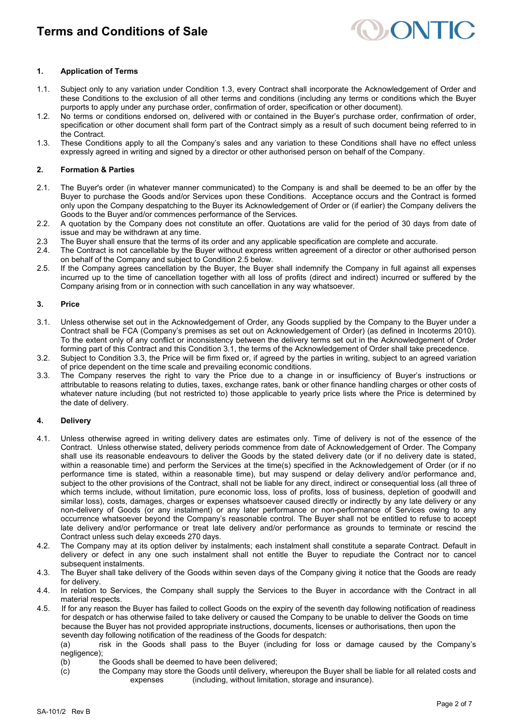

## **1. Application of Terms**

- 1.1. Subject only to any variation under Condition 1.3, every Contract shall incorporate the Acknowledgement of Order and these Conditions to the exclusion of all other terms and conditions (including any terms or conditions which the Buyer purports to apply under any purchase order, confirmation of order, specification or other document).
- 1.2. No terms or conditions endorsed on, delivered with or contained in the Buyer's purchase order, confirmation of order, specification or other document shall form part of the Contract simply as a result of such document being referred to in the Contract.
- 1.3. These Conditions apply to all the Company's sales and any variation to these Conditions shall have no effect unless expressly agreed in writing and signed by a director or other authorised person on behalf of the Company.

## **2. Formation & Parties**

- 2.1. The Buyer's order (in whatever manner communicated) to the Company is and shall be deemed to be an offer by the Buyer to purchase the Goods and/or Services upon these Conditions. Acceptance occurs and the Contract is formed only upon the Company despatching to the Buyer its Acknowledgement of Order or (if earlier) the Company delivers the Goods to the Buyer and/or commences performance of the Services.
- 2.2. A quotation by the Company does not constitute an offer. Quotations are valid for the period of 30 days from date of issue and may be withdrawn at any time.
- 2.3 The Buyer shall ensure that the terms of its order and any applicable specification are complete and accurate.
- 2.4. The Contract is not cancellable by the Buyer without express written agreement of a director or other authorised person on behalf of the Company and subject to Condition 2.5 below.
- 2.5. If the Company agrees cancellation by the Buyer, the Buyer shall indemnify the Company in full against all expenses incurred up to the time of cancellation together with all loss of profits (direct and indirect) incurred or suffered by the Company arising from or in connection with such cancellation in any way whatsoever.

#### **3. Price**

- 3.1. Unless otherwise set out in the Acknowledgement of Order, any Goods supplied by the Company to the Buyer under a Contract shall be FCA (Company's premises as set out on Acknowledgement of Order) (as defined in Incoterms 2010). To the extent only of any conflict or inconsistency between the delivery terms set out in the Acknowledgement of Order forming part of this Contract and this Condition 3.1, the terms of the Acknowledgement of Order shall take precedence.
- 3.2. Subject to Condition 3.3, the Price will be firm fixed or, if agreed by the parties in writing, subject to an agreed variation of price dependent on the time scale and prevailing economic conditions.
- 3.3. The Company reserves the right to vary the Price due to a change in or insufficiency of Buyer's instructions or attributable to reasons relating to duties, taxes, exchange rates, bank or other finance handling charges or other costs of whatever nature including (but not restricted to) those applicable to yearly price lists where the Price is determined by the date of delivery.

## **4. Delivery**

- 4.1. Unless otherwise agreed in writing delivery dates are estimates only. Time of delivery is not of the essence of the Contract. Unless otherwise stated, delivery periods commence from date of Acknowledgement of Order. The Company shall use its reasonable endeavours to deliver the Goods by the stated delivery date (or if no delivery date is stated, within a reasonable time) and perform the Services at the time(s) specified in the Acknowledgement of Order (or if no performance time is stated, within a reasonable time), but may suspend or delay delivery and/or performance and, subject to the other provisions of the Contract, shall not be liable for any direct, indirect or consequential loss (all three of which terms include, without limitation, pure economic loss, loss of profits, loss of business, depletion of goodwill and similar loss), costs, damages, charges or expenses whatsoever caused directly or indirectly by any late delivery or any non-delivery of Goods (or any instalment) or any later performance or non-performance of Services owing to any occurrence whatsoever beyond the Company's reasonable control. The Buyer shall not be entitled to refuse to accept late delivery and/or performance or treat late delivery and/or performance as grounds to terminate or rescind the Contract unless such delay exceeds 270 days.
- 4.2. The Company may at its option deliver by instalments; each instalment shall constitute a separate Contract. Default in delivery or defect in any one such instalment shall not entitle the Buyer to repudiate the Contract nor to cancel subsequent instalments.
- 4.3. The Buyer shall take delivery of the Goods within seven days of the Company giving it notice that the Goods are ready for delivery.
- 4.4. In relation to Services, the Company shall supply the Services to the Buyer in accordance with the Contract in all material respects.
- 4.5. If for any reason the Buyer has failed to collect Goods on the expiry of the seventh day following notification of readiness for despatch or has otherwise failed to take delivery or caused the Company to be unable to deliver the Goods on time because the Buyer has not provided appropriate instructions, documents, licenses or authorisations, then upon the seventh day following notification of the readiness of the Goods for despatch:
	- (a) risk in the Goods shall pass to the Buyer (including for loss or damage caused by the Company's negligence);
	- (b) the Goods shall be deemed to have been delivered;
	- (c) the Company may store the Goods until delivery, whereupon the Buyer shall be liable for all related costs and expenses (including, without limitation, storage and insurance).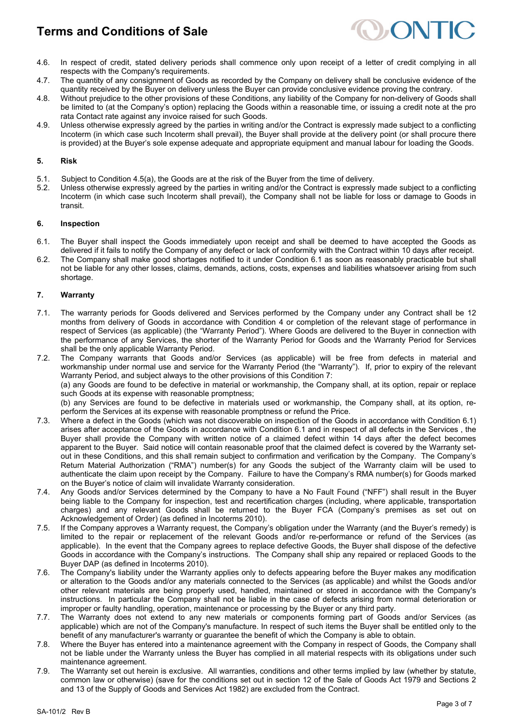

- 4.6. In respect of credit, stated delivery periods shall commence only upon receipt of a letter of credit complying in all respects with the Company's requirements.
- 4.7. The quantity of any consignment of Goods as recorded by the Company on delivery shall be conclusive evidence of the quantity received by the Buyer on delivery unless the Buyer can provide conclusive evidence proving the contrary.
- 4.8. Without prejudice to the other provisions of these Conditions, any liability of the Company for non-delivery of Goods shall be limited to (at the Company's option) replacing the Goods within a reasonable time, or issuing a credit note at the pro rata Contact rate against any invoice raised for such Goods.
- 4.9. Unless otherwise expressly agreed by the parties in writing and/or the Contract is expressly made subject to a conflicting Incoterm (in which case such Incoterm shall prevail), the Buyer shall provide at the delivery point (or shall procure there is provided) at the Buyer's sole expense adequate and appropriate equipment and manual labour for loading the Goods.

## **5. Risk**

- 5.1. Subject to Condition 4.5(a), the Goods are at the risk of the Buyer from the time of delivery.
- 5.2. Unless otherwise expressly agreed by the parties in writing and/or the Contract is expressly made subject to a conflicting Incoterm (in which case such Incoterm shall prevail), the Company shall not be liable for loss or damage to Goods in transit.

## **6. Inspection**

- 6.1. The Buyer shall inspect the Goods immediately upon receipt and shall be deemed to have accepted the Goods as delivered if it fails to notify the Company of any defect or lack of conformity with the Contract within 10 days after receipt.
- 6.2. The Company shall make good shortages notified to it under Condition 6.1 as soon as reasonably practicable but shall not be liable for any other losses, claims, demands, actions, costs, expenses and liabilities whatsoever arising from such shortage.

## **7. Warranty**

- 7.1. The warranty periods for Goods delivered and Services performed by the Company under any Contract shall be 12 months from delivery of Goods in accordance with Condition 4 or completion of the relevant stage of performance in respect of Services (as applicable) (the "Warranty Period"). Where Goods are delivered to the Buyer in connection with the performance of any Services, the shorter of the Warranty Period for Goods and the Warranty Period for Services shall be the only applicable Warranty Period.
- 7.2. The Company warrants that Goods and/or Services (as applicable) will be free from defects in material and workmanship under normal use and service for the Warranty Period (the "Warranty"). If, prior to expiry of the relevant Warranty Period, and subject always to the other provisions of this Condition 7: (a) any Goods are found to be defective in material or workmanship, the Company shall, at its option, repair or replace such Goods at its expense with reasonable promptness; (b) any Services are found to be defective in materials used or workmanship, the Company shall, at its option, re-

perform the Services at its expense with reasonable promptness or refund the Price.

- 7.3. Where a defect in the Goods (which was not discoverable on inspection of the Goods in accordance with Condition 6.1) arises after acceptance of the Goods in accordance with Condition 6.1 and in respect of all defects in the Services , the Buyer shall provide the Company with written notice of a claimed defect within 14 days after the defect becomes apparent to the Buyer. Said notice will contain reasonable proof that the claimed defect is covered by the Warranty setout in these Conditions, and this shall remain subject to confirmation and verification by the Company. The Company's Return Material Authorization ("RMA") number(s) for any Goods the subject of the Warranty claim will be used to authenticate the claim upon receipt by the Company. Failure to have the Company's RMA number(s) for Goods marked on the Buyer's notice of claim will invalidate Warranty consideration.
- 7.4. Any Goods and/or Services determined by the Company to have a No Fault Found ("NFF") shall result in the Buyer being liable to the Company for inspection, test and recertification charges (including, where applicable, transportation charges) and any relevant Goods shall be returned to the Buyer FCA (Company's premises as set out on Acknowledgement of Order) (as defined in Incoterms 2010).
- 7.5. If the Company approves a Warranty request, the Company's obligation under the Warranty (and the Buyer's remedy) is limited to the repair or replacement of the relevant Goods and/or re-performance or refund of the Services (as applicable). In the event that the Company agrees to replace defective Goods, the Buyer shall dispose of the defective Goods in accordance with the Company's instructions. The Company shall ship any repaired or replaced Goods to the Buyer DAP (as defined in Incoterms 2010).
- 7.6. The Company's liability under the Warranty applies only to defects appearing before the Buyer makes any modification or alteration to the Goods and/or any materials connected to the Services (as applicable) and whilst the Goods and/or other relevant materials are being properly used, handled, maintained or stored in accordance with the Company's instructions. In particular the Company shall not be liable in the case of defects arising from normal deterioration or improper or faulty handling, operation, maintenance or processing by the Buyer or any third party.
- 7.7. The Warranty does not extend to any new materials or components forming part of Goods and/or Services (as applicable) which are not of the Company's manufacture. In respect of such items the Buyer shall be entitled only to the benefit of any manufacturer's warranty or guarantee the benefit of which the Company is able to obtain.
- 7.8. Where the Buyer has entered into a maintenance agreement with the Company in respect of Goods, the Company shall not be liable under the Warranty unless the Buyer has complied in all material respects with its obligations under such maintenance agreement.
- 7.9. The Warranty set out herein is exclusive. All warranties, conditions and other terms implied by law (whether by statute, common law or otherwise) (save for the conditions set out in section 12 of the Sale of Goods Act 1979 and Sections 2 and 13 of the Supply of Goods and Services Act 1982) are excluded from the Contract.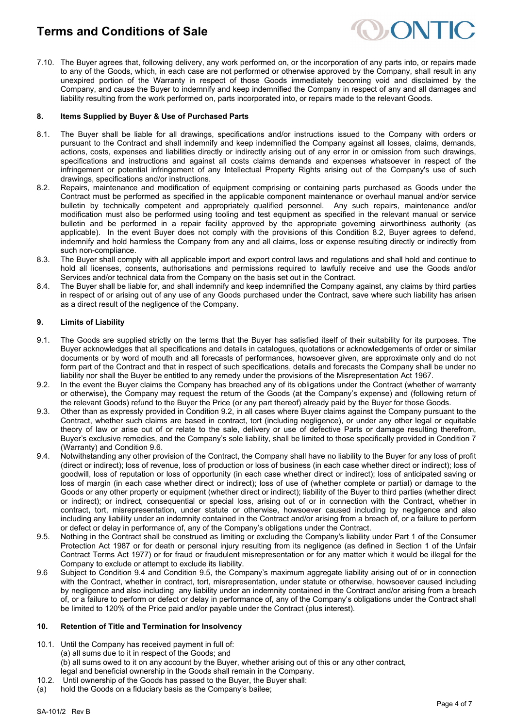

7.10. The Buyer agrees that, following delivery, any work performed on, or the incorporation of any parts into, or repairs made to any of the Goods, which, in each case are not performed or otherwise approved by the Company, shall result in any unexpired portion of the Warranty in respect of those Goods immediately becoming void and disclaimed by the Company, and cause the Buyer to indemnify and keep indemnified the Company in respect of any and all damages and liability resulting from the work performed on, parts incorporated into, or repairs made to the relevant Goods.

## **8. Items Supplied by Buyer & Use of Purchased Parts**

- 8.1. The Buyer shall be liable for all drawings, specifications and/or instructions issued to the Company with orders or pursuant to the Contract and shall indemnify and keep indemnified the Company against all losses, claims, demands, actions, costs, expenses and liabilities directly or indirectly arising out of any error in or omission from such drawings, specifications and instructions and against all costs claims demands and expenses whatsoever in respect of the infringement or potential infringement of any Intellectual Property Rights arising out of the Company's use of such drawings, specifications and/or instructions.
- 8.2. Repairs, maintenance and modification of equipment comprising or containing parts purchased as Goods under the Contract must be performed as specified in the applicable component maintenance or overhaul manual and/or service bulletin by technically competent and appropriately qualified personnel. Any such repairs, maintenance and/or modification must also be performed using tooling and test equipment as specified in the relevant manual or service bulletin and be performed in a repair facility approved by the appropriate governing airworthiness authority (as applicable). In the event Buyer does not comply with the provisions of this Condition 8.2, Buyer agrees to defend, indemnify and hold harmless the Company from any and all claims, loss or expense resulting directly or indirectly from such non-compliance.
- 8.3. The Buyer shall comply with all applicable import and export control laws and regulations and shall hold and continue to hold all licenses, consents, authorisations and permissions required to lawfully receive and use the Goods and/or Services and/or technical data from the Company on the basis set out in the Contract.
- 8.4. The Buyer shall be liable for, and shall indemnify and keep indemnified the Company against, any claims by third parties in respect of or arising out of any use of any Goods purchased under the Contract, save where such liability has arisen as a direct result of the negligence of the Company.

## **9. Limits of Liability**

- 9.1. The Goods are supplied strictly on the terms that the Buyer has satisfied itself of their suitability for its purposes. The Buyer acknowledges that all specifications and details in catalogues, quotations or acknowledgements of order or similar documents or by word of mouth and all forecasts of performances, howsoever given, are approximate only and do not form part of the Contract and that in respect of such specifications, details and forecasts the Company shall be under no liability nor shall the Buyer be entitled to any remedy under the provisions of the Misrepresentation Act 1967.
- 9.2. In the event the Buyer claims the Company has breached any of its obligations under the Contract (whether of warranty or otherwise), the Company may request the return of the Goods (at the Company's expense) and (following return of the relevant Goods) refund to the Buyer the Price (or any part thereof) already paid by the Buyer for those Goods.
- 9.3. Other than as expressly provided in Condition 9.2, in all cases where Buyer claims against the Company pursuant to the Contract, whether such claims are based in contract, tort (including negligence), or under any other legal or equitable theory of law or arise out of or relate to the sale, delivery or use of defective Parts or damage resulting therefrom, Buyer's exclusive remedies, and the Company's sole liability, shall be limited to those specifically provided in Condition 7 (Warranty) and Condition 9.6.
- 9.4. Notwithstanding any other provision of the Contract, the Company shall have no liability to the Buyer for any loss of profit (direct or indirect); loss of revenue, loss of production or loss of business (in each case whether direct or indirect); loss of goodwill, loss of reputation or loss of opportunity (in each case whether direct or indirect); loss of anticipated saving or loss of margin (in each case whether direct or indirect); loss of use of (whether complete or partial) or damage to the Goods or any other property or equipment (whether direct or indirect); liability of the Buyer to third parties (whether direct or indirect); or indirect, consequential or special loss, arising out of or in connection with the Contract, whether in contract, tort, misrepresentation, under statute or otherwise, howsoever caused including by negligence and also including any liability under an indemnity contained in the Contract and/or arising from a breach of, or a failure to perform or defect or delay in performance of, any of the Company's obligations under the Contract.
- 9.5. Nothing in the Contract shall be construed as limiting or excluding the Company's liability under Part 1 of the Consumer Protection Act 1987 or for death or personal injury resulting from its negligence (as defined in Section 1 of the Unfair Contract Terms Act 1977) or for fraud or fraudulent misrepresentation or for any matter which it would be illegal for the Company to exclude or attempt to exclude its liability.
- 9.6 Subject to Condition 9.4 and Condition 9.5, the Company's maximum aggregate liability arising out of or in connection with the Contract, whether in contract, tort, misrepresentation, under statute or otherwise, howsoever caused including by negligence and also including any liability under an indemnity contained in the Contract and/or arising from a breach of, or a failure to perform or defect or delay in performance of, any of the Company's obligations under the Contract shall be limited to 120% of the Price paid and/or payable under the Contract (plus interest).

#### **10. Retention of Title and Termination for Insolvency**

- 10.1. Until the Company has received payment in full of:
	- (a) all sums due to it in respect of the Goods; and
	- (b) all sums owed to it on any account by the Buyer, whether arising out of this or any other contract,
- legal and beneficial ownership in the Goods shall remain in the Company.
- 10.2. Until ownership of the Goods has passed to the Buyer, the Buyer shall:
- (a) hold the Goods on a fiduciary basis as the Company's bailee;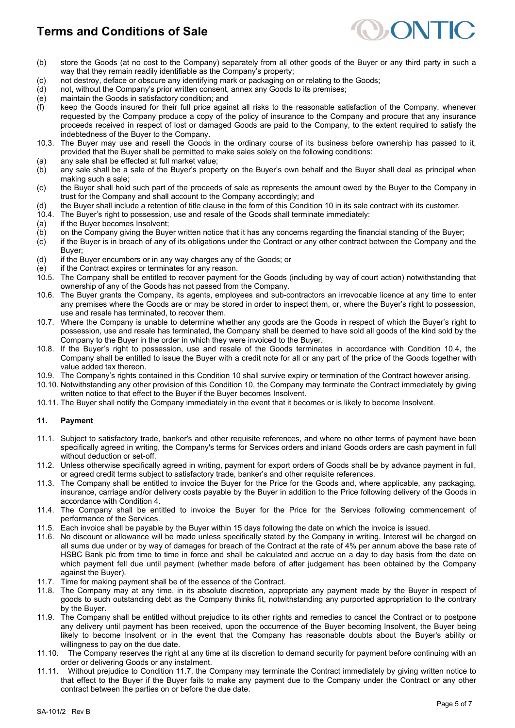

- (b) store the Goods (at no cost to the Company) separately from all other goods of the Buyer or any third party in such a way that they remain readily identifiable as the Company's property;
- (c) not destroy, deface or obscure any identifying mark or packaging on or relating to the Goods;<br>(d) not, without the Company's prior written consent, annex any Goods to its premises;
- not, without the Company's prior written consent, annex any Goods to its premises;
- (e) maintain the Goods in satisfactory condition; and
- (f) keep the Goods insured for their full price against all risks to the reasonable satisfaction of the Company, whenever requested by the Company produce a copy of the policy of insurance to the Company and procure that any insurance proceeds received in respect of lost or damaged Goods are paid to the Company, to the extent required to satisfy the indebtedness of the Buyer to the Company.
- 10.3. The Buyer may use and resell the Goods in the ordinary course of its business before ownership has passed to it, provided that the Buyer shall be permitted to make sales solely on the following conditions:
- (a) any sale shall be effected at full market value;<br>(b) any sale shall be a sale of the Buyer's prope
- any sale shall be a sale of the Buyer's property on the Buyer's own behalf and the Buyer shall deal as principal when making such a sale;
- (c) the Buyer shall hold such part of the proceeds of sale as represents the amount owed by the Buyer to the Company in trust for the Company and shall account to the Company accordingly; and
- (d) the Buyer shall include a retention of title clause in the form of this Condition 10 in its sale contract with its customer.<br>10.4. The Buyer's right to possession, use and resale of the Goods shall terminate immediatel
- The Buyer's right to possession, use and resale of the Goods shall terminate immediately:
- (a) if the Buyer becomes Insolvent;<br>(b) on the Company giving the Buye
- (b) on the Company giving the Buyer written notice that it has any concerns regarding the financial standing of the Buyer;
- (c) if the Buyer is in breach of any of its obligations under the Contract or any other contract between the Company and the Buyer;
- (d) if the Buyer encumbers or in any way charges any of the Goods; or
- (e) if the Contract expires or terminates for any reason.
- 10.5. The Company shall be entitled to recover payment for the Goods (including by way of court action) notwithstanding that ownership of any of the Goods has not passed from the Company.
- 10.6. The Buyer grants the Company, its agents, employees and sub-contractors an irrevocable licence at any time to enter any premises where the Goods are or may be stored in order to inspect them, or, where the Buyer's right to possession, use and resale has terminated, to recover them.
- 10.7. Where the Company is unable to determine whether any goods are the Goods in respect of which the Buyer's right to possession, use and resale has terminated, the Company shall be deemed to have sold all goods of the kind sold by the Company to the Buyer in the order in which they were invoiced to the Buyer.
- 10.8. If the Buyer's right to possession, use and resale of the Goods terminates in accordance with Condition 10.4, the Company shall be entitled to issue the Buyer with a credit note for all or any part of the price of the Goods together with value added tax thereon.
- 10.9. The Company's rights contained in this Condition 10 shall survive expiry or termination of the Contract however arising.
- 10.10. Notwithstanding any other provision of this Condition 10, the Company may terminate the Contract immediately by giving written notice to that effect to the Buyer if the Buyer becomes Insolvent.
- 10.11. The Buyer shall notify the Company immediately in the event that it becomes or is likely to become Insolvent.

## **11. Payment**

- 11.1. Subject to satisfactory trade, banker's and other requisite references, and where no other terms of payment have been specifically agreed in writing, the Company's terms for Services orders and inland Goods orders are cash payment in full without deduction or set-off.
- 11.2. Unless otherwise specifically agreed in writing, payment for export orders of Goods shall be by advance payment in full, or agreed credit terms subject to satisfactory trade, banker's and other requisite references.
- 11.3. The Company shall be entitled to invoice the Buyer for the Price for the Goods and, where applicable, any packaging, insurance, carriage and/or delivery costs payable by the Buyer in addition to the Price following delivery of the Goods in accordance with Condition 4.
- 11.4. The Company shall be entitled to invoice the Buyer for the Price for the Services following commencement of performance of the Services.
- 11.5. Each invoice shall be payable by the Buyer within 15 days following the date on which the invoice is issued.
- 11.6. No discount or allowance will be made unless specifically stated by the Company in writing. Interest will be charged on all sums due under or by way of damages for breach of the Contract at the rate of 4% per annum above the base rate of HSBC Bank plc from time to time in force and shall be calculated and accrue on a day to day basis from the date on which payment fell due until payment (whether made before of after judgement has been obtained by the Company against the Buyer).
- 11.7. Time for making payment shall be of the essence of the Contract.
- 11.8. The Company may at any time, in its absolute discretion, appropriate any payment made by the Buyer in respect of goods to such outstanding debt as the Company thinks fit, notwithstanding any purported appropriation to the contrary by the Buyer.
- 11.9. The Company shall be entitled without prejudice to its other rights and remedies to cancel the Contract or to postpone any delivery until payment has been received, upon the occurrence of the Buyer becoming Insolvent, the Buyer being likely to become Insolvent or in the event that the Company has reasonable doubts about the Buyer's ability or willingness to pay on the due date.
- 11.10. The Company reserves the right at any time at its discretion to demand security for payment before continuing with an order or delivering Goods or any instalment.
- 11.11. Without prejudice to Condition 11.7, the Company may terminate the Contract immediately by giving written notice to that effect to the Buyer if the Buyer fails to make any payment due to the Company under the Contract or any other contract between the parties on or before the due date.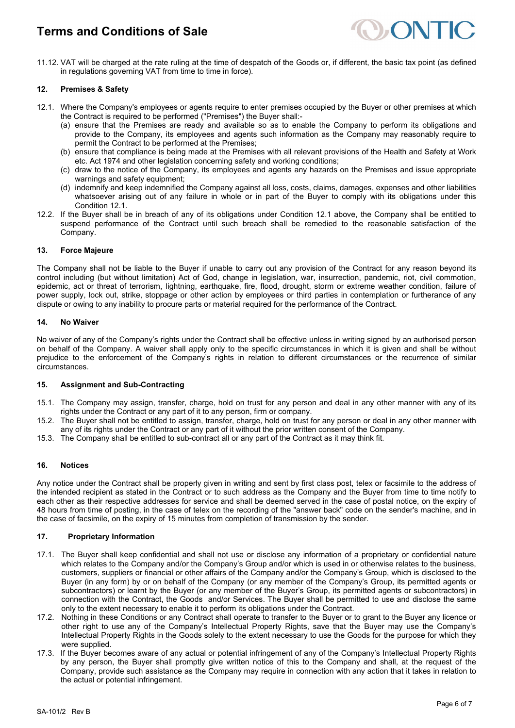

11.12. VAT will be charged at the rate ruling at the time of despatch of the Goods or, if different, the basic tax point (as defined in regulations governing VAT from time to time in force).

#### **12. Premises & Safety**

- 12.1. Where the Company's employees or agents require to enter premises occupied by the Buyer or other premises at which the Contract is required to be performed ("Premises") the Buyer shall:-
	- (a) ensure that the Premises are ready and available so as to enable the Company to perform its obligations and provide to the Company, its employees and agents such information as the Company may reasonably require to permit the Contract to be performed at the Premises;
	- (b) ensure that compliance is being made at the Premises with all relevant provisions of the Health and Safety at Work etc. Act 1974 and other legislation concerning safety and working conditions;
	- (c) draw to the notice of the Company, its employees and agents any hazards on the Premises and issue appropriate warnings and safety equipment;
	- (d) indemnify and keep indemnified the Company against all loss, costs, claims, damages, expenses and other liabilities whatsoever arising out of any failure in whole or in part of the Buyer to comply with its obligations under this Condition 12.1.
- 12.2. If the Buyer shall be in breach of any of its obligations under Condition 12.1 above, the Company shall be entitled to suspend performance of the Contract until such breach shall be remedied to the reasonable satisfaction of the Company.

## **13. Force Majeure**

The Company shall not be liable to the Buyer if unable to carry out any provision of the Contract for any reason beyond its control including (but without limitation) Act of God, change in legislation, war, insurrection, pandemic, riot, civil commotion, epidemic, act or threat of terrorism, lightning, earthquake, fire, flood, drought, storm or extreme weather condition, failure of power supply, lock out, strike, stoppage or other action by employees or third parties in contemplation or furtherance of any dispute or owing to any inability to procure parts or material required for the performance of the Contract.

#### **14. No Waiver**

No waiver of any of the Company's rights under the Contract shall be effective unless in writing signed by an authorised person on behalf of the Company. A waiver shall apply only to the specific circumstances in which it is given and shall be without prejudice to the enforcement of the Company's rights in relation to different circumstances or the recurrence of similar circumstances.

#### **15. Assignment and Sub-Contracting**

- 15.1. The Company may assign, transfer, charge, hold on trust for any person and deal in any other manner with any of its rights under the Contract or any part of it to any person, firm or company.
- 15.2. The Buyer shall not be entitled to assign, transfer, charge, hold on trust for any person or deal in any other manner with any of its rights under the Contract or any part of it without the prior written consent of the Company.
- 15.3. The Company shall be entitled to sub-contract all or any part of the Contract as it may think fit.

#### **16. Notices**

Any notice under the Contract shall be properly given in writing and sent by first class post, telex or facsimile to the address of the intended recipient as stated in the Contract or to such address as the Company and the Buyer from time to time notify to each other as their respective addresses for service and shall be deemed served in the case of postal notice, on the expiry of 48 hours from time of posting, in the case of telex on the recording of the "answer back" code on the sender's machine, and in the case of facsimile, on the expiry of 15 minutes from completion of transmission by the sender.

#### **17. Proprietary Information**

- 17.1. The Buyer shall keep confidential and shall not use or disclose any information of a proprietary or confidential nature which relates to the Company and/or the Company's Group and/or which is used in or otherwise relates to the business, customers, suppliers or financial or other affairs of the Company and/or the Company's Group, which is disclosed to the Buyer (in any form) by or on behalf of the Company (or any member of the Company's Group, its permitted agents or subcontractors) or learnt by the Buyer (or any member of the Buyer's Group, its permitted agents or subcontractors) in connection with the Contract, the Goods and/or Services. The Buyer shall be permitted to use and disclose the same only to the extent necessary to enable it to perform its obligations under the Contract.
- 17.2. Nothing in these Conditions or any Contract shall operate to transfer to the Buyer or to grant to the Buyer any licence or other right to use any of the Company's Intellectual Property Rights, save that the Buyer may use the Company's Intellectual Property Rights in the Goods solely to the extent necessary to use the Goods for the purpose for which they were supplied.
- 17.3. If the Buyer becomes aware of any actual or potential infringement of any of the Company's Intellectual Property Rights by any person, the Buyer shall promptly give written notice of this to the Company and shall, at the request of the Company, provide such assistance as the Company may require in connection with any action that it takes in relation to the actual or potential infringement.